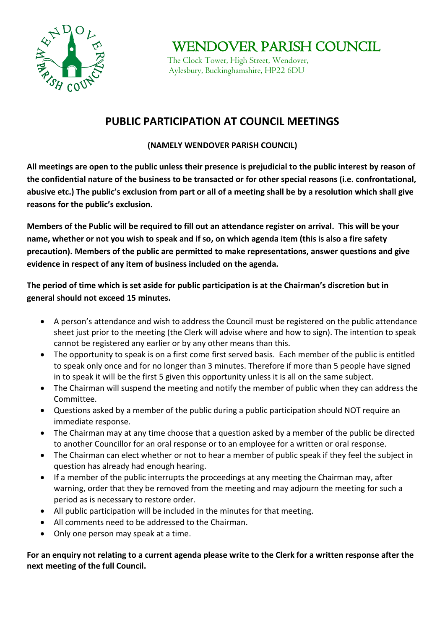

WENDOVER PARISH COUNCIL

 The Clock Tower, High Street, Wendover, Aylesbury, Buckinghamshire, HP22 6DU

## **PUBLIC PARTICIPATION AT COUNCIL MEETINGS**

## **(NAMELY WENDOVER PARISH COUNCIL)**

**All meetings are open to the public unless their presence is prejudicial to the public interest by reason of the confidential nature of the business to be transacted or for other special reasons (i.e. confrontational, abusive etc.) The public's exclusion from part or all of a meeting shall be by a resolution which shall give reasons for the public's exclusion.**

**Members of the Public will be required to fill out an attendance register on arrival. This will be your name, whether or not you wish to speak and if so, on which agenda item (this is also a fire safety precaution). Members of the public are permitted to make representations, answer questions and give evidence in respect of any item of business included on the agenda.**

**The period of time which is set aside for public participation is at the Chairman's discretion but in general should not exceed 15 minutes.**

- A person's attendance and wish to address the Council must be registered on the public attendance sheet just prior to the meeting (the Clerk will advise where and how to sign). The intention to speak cannot be registered any earlier or by any other means than this.
- The opportunity to speak is on a first come first served basis. Each member of the public is entitled to speak only once and for no longer than 3 minutes. Therefore if more than 5 people have signed in to speak it will be the first 5 given this opportunity unless it is all on the same subject.
- The Chairman will suspend the meeting and notify the member of public when they can address the Committee.
- Questions asked by a member of the public during a public participation should NOT require an immediate response.
- The Chairman may at any time choose that a question asked by a member of the public be directed to another Councillor for an oral response or to an employee for a written or oral response.
- The Chairman can elect whether or not to hear a member of public speak if they feel the subject in question has already had enough hearing.
- If a member of the public interrupts the proceedings at any meeting the Chairman may, after warning, order that they be removed from the meeting and may adjourn the meeting for such a period as is necessary to restore order.
- All public participation will be included in the minutes for that meeting.
- All comments need to be addressed to the Chairman.
- Only one person may speak at a time.

**For an enquiry not relating to a current agenda please write to the Clerk for a written response after the next meeting of the full Council.**